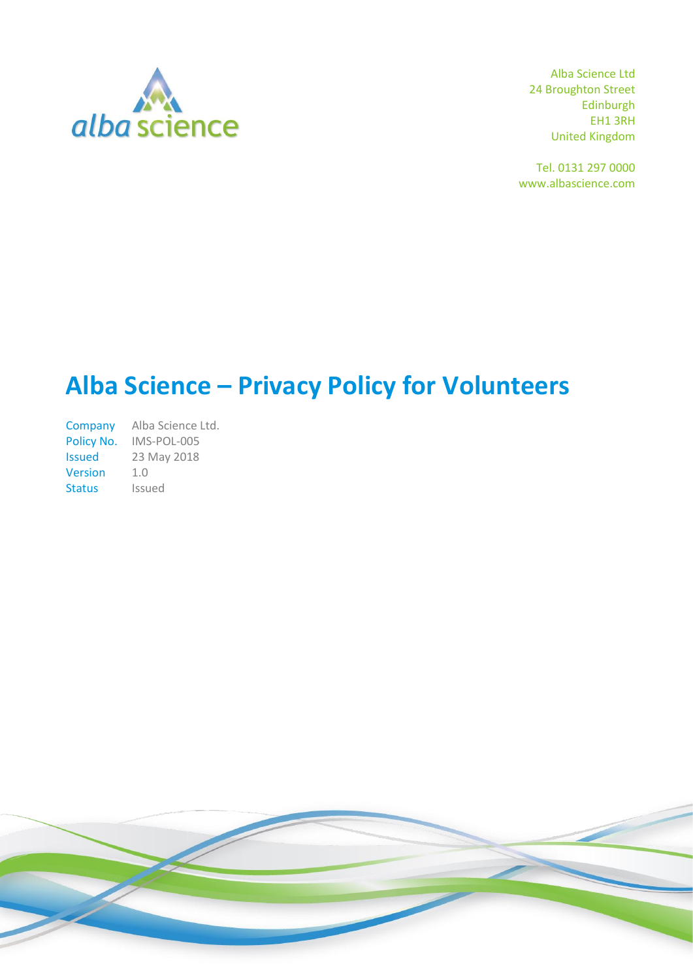

Alba Science Ltd 24 Broughton Street Edinburgh EH1 3RH United Kingdom

Tel. 0131 297 0000 www.albascience.com

# **Alba Science – Privacy Policy for Volunteers**

Company Alba Science Ltd. Policy No. IMS-POL-005 Issued 23 May 2018 Version 1.0 Status Issued

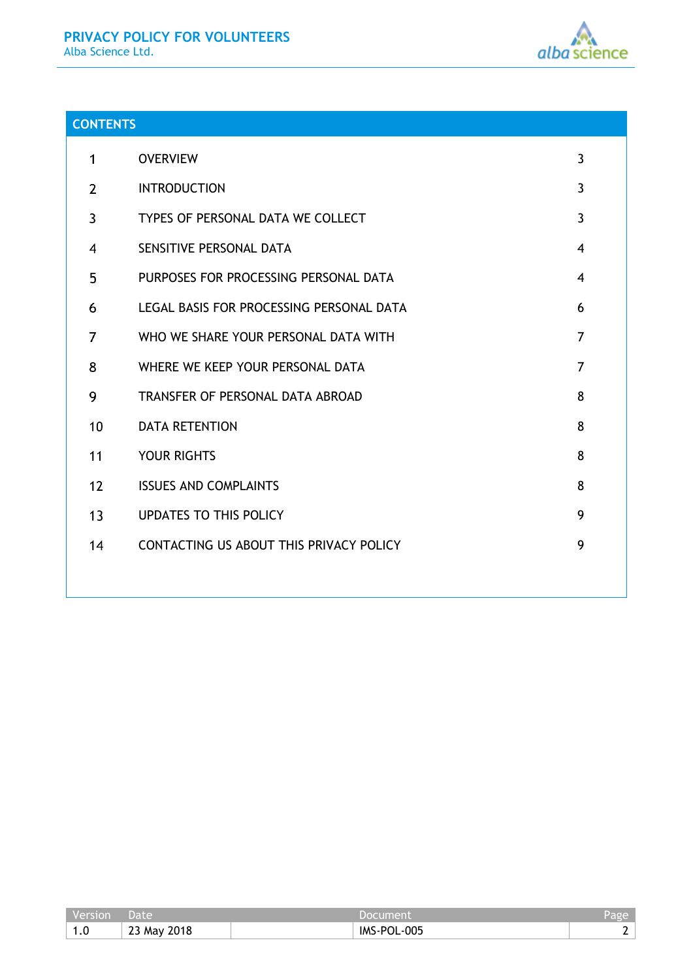

## **CONTENTS**

| 1              | <b>OVERVIEW</b>                          | 3              |
|----------------|------------------------------------------|----------------|
| $\overline{2}$ | <b>INTRODUCTION</b>                      | $\overline{3}$ |
| 3              | TYPES OF PERSONAL DATA WE COLLECT        | 3              |
| 4              | SENSITIVE PERSONAL DATA                  | $\overline{4}$ |
| 5              | PURPOSES FOR PROCESSING PERSONAL DATA    | $\overline{4}$ |
| 6              | LEGAL BASIS FOR PROCESSING PERSONAL DATA | 6              |
| 7              | WHO WE SHARE YOUR PERSONAL DATA WITH     | $\overline{7}$ |
| 8              | WHERE WE KEEP YOUR PERSONAL DATA         | $\overline{7}$ |
| 9              | TRANSFER OF PERSONAL DATA ABROAD         | 8              |
| 10             | <b>DATA RETENTION</b>                    | 8              |
| 11             | <b>YOUR RIGHTS</b>                       | 8              |
| 12             | <b>ISSUES AND COMPLAINTS</b>             | 8              |
| 13             | <b>UPDATES TO THIS POLICY</b>            | 9              |
| 14             | CONTACTING US ABOUT THIS PRIVACY POLICY  | 9              |
|                |                                          |                |

| <b>Version</b> | Date.       | Document    | Page |
|----------------|-------------|-------------|------|
| 1.0            | 23 May 2018 | IMS-POL-005 |      |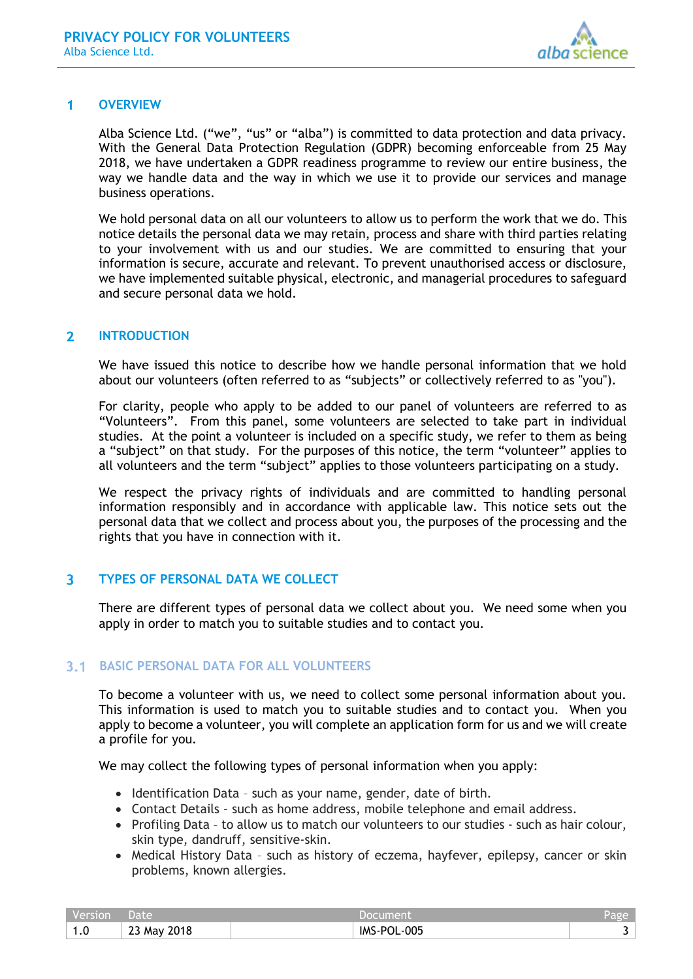

#### <span id="page-2-0"></span>1 **OVERVIEW**

Alba Science Ltd. ("we", "us" or "alba") is committed to data protection and data privacy. With the General Data Protection Regulation (GDPR) becoming enforceable from 25 May 2018, we have undertaken a GDPR readiness programme to review our entire business, the way we handle data and the way in which we use it to provide our services and manage business operations.

We hold personal data on all our volunteers to allow us to perform the work that we do. This notice details the personal data we may retain, process and share with third parties relating to your involvement with us and our studies. We are committed to ensuring that your information is secure, accurate and relevant. To prevent unauthorised access or disclosure, we have implemented suitable physical, electronic, and managerial procedures to safeguard and secure personal data we hold.

#### <span id="page-2-1"></span> $2<sup>1</sup>$ **INTRODUCTION**

We have issued this notice to describe how we handle personal information that we hold about our volunteers (often referred to as "subjects" or collectively referred to as "you").

For clarity, people who apply to be added to our panel of volunteers are referred to as "Volunteers". From this panel, some volunteers are selected to take part in individual studies. At the point a volunteer is included on a specific study, we refer to them as being a "subject" on that study. For the purposes of this notice, the term "volunteer" applies to all volunteers and the term "subject" applies to those volunteers participating on a study.

We respect the privacy rights of individuals and are committed to handling personal information responsibly and in accordance with applicable law. This notice sets out the personal data that we collect and process about you, the purposes of the processing and the rights that you have in connection with it.

### <span id="page-2-2"></span> $\overline{3}$ **TYPES OF PERSONAL DATA WE COLLECT**

There are different types of personal data we collect about you. We need some when you apply in order to match you to suitable studies and to contact you.

### **BASIC PERSONAL DATA FOR ALL VOLUNTEERS**

To become a volunteer with us, we need to collect some personal information about you. This information is used to match you to suitable studies and to contact you. When you apply to become a volunteer, you will complete an application form for us and we will create a profile for you.

We may collect the following types of personal information when you apply:

- Identification Data such as your name, gender, date of birth.
- Contact Details such as home address, mobile telephone and email address.
- Profiling Data to allow us to match our volunteers to our studies such as hair colour, skin type, dandruff, sensitive-skin.
- Medical History Data such as history of eczema, hayfever, epilepsy, cancer or skin problems, known allergies.

| Version    | 'Date'      | Document    | Page |
|------------|-------------|-------------|------|
| 1 O<br>1.U | 23 May 2018 | IMS-POL-005 |      |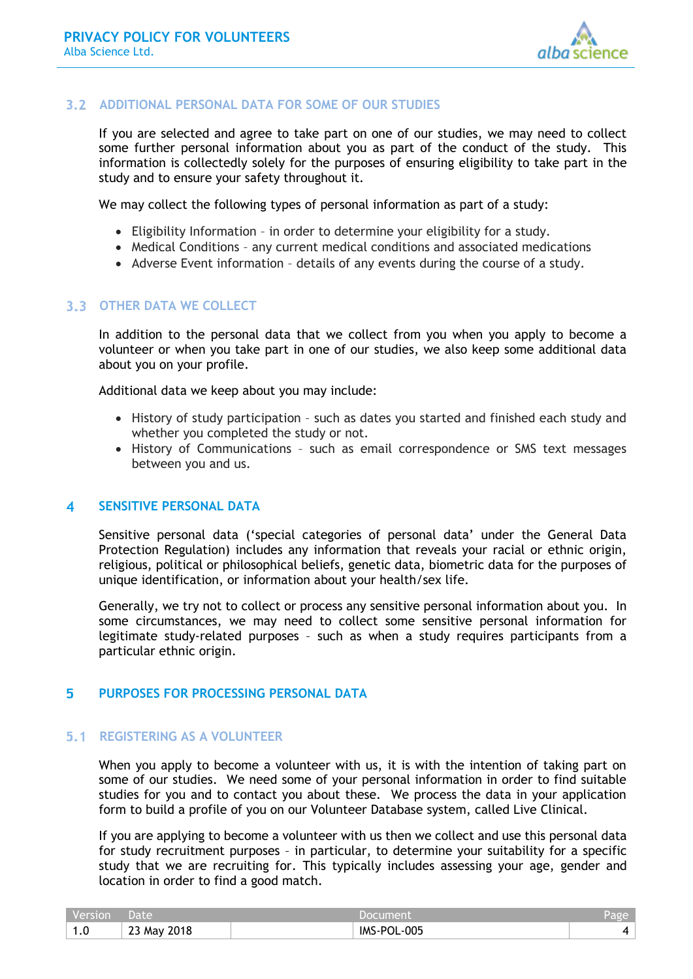

### **ADDITIONAL PERSONAL DATA FOR SOME OF OUR STUDIES**

If you are selected and agree to take part on one of our studies, we may need to collect some further personal information about you as part of the conduct of the study. This information is collectedly solely for the purposes of ensuring eligibility to take part in the study and to ensure your safety throughout it.

We may collect the following types of personal information as part of a study:

- Eligibility Information in order to determine your eligibility for a study.
- Medical Conditions any current medical conditions and associated medications
- Adverse Event information details of any events during the course of a study.

### **3.3 OTHER DATA WE COLLECT**

In addition to the personal data that we collect from you when you apply to become a volunteer or when you take part in one of our studies, we also keep some additional data about you on your profile.

Additional data we keep about you may include:

- History of study participation such as dates you started and finished each study and whether you completed the study or not.
- History of Communications such as email correspondence or SMS text messages between you and us.

### <span id="page-3-0"></span> $\blacktriangle$ **SENSITIVE PERSONAL DATA**

Sensitive personal data ('special categories of personal data' under the General Data Protection Regulation) includes any information that reveals your racial or ethnic origin, religious, political or philosophical beliefs, genetic data, biometric data for the purposes of unique identification, or information about your health/sex life.

Generally, we try not to collect or process any sensitive personal information about you. In some circumstances, we may need to collect some sensitive personal information for legitimate study-related purposes – such as when a study requires participants from a particular ethnic origin.

#### <span id="page-3-1"></span> $5<sup>5</sup>$ **PURPOSES FOR PROCESSING PERSONAL DATA**

### **REGISTERING AS A VOLUNTEER**

When you apply to become a volunteer with us, it is with the intention of taking part on some of our studies. We need some of your personal information in order to find suitable studies for you and to contact you about these. We process the data in your application form to build a profile of you on our Volunteer Database system, called Live Clinical.

If you are applying to become a volunteer with us then we collect and use this personal data for study recruitment purposes – in particular, to determine your suitability for a specific study that we are recruiting for. This typically includes assessing your age, gender and location in order to find a good match.

| Version        | <b>Date</b> | Document    | Page |
|----------------|-------------|-------------|------|
| $\overline{A}$ | 23 May 2018 | IMS-POL-005 |      |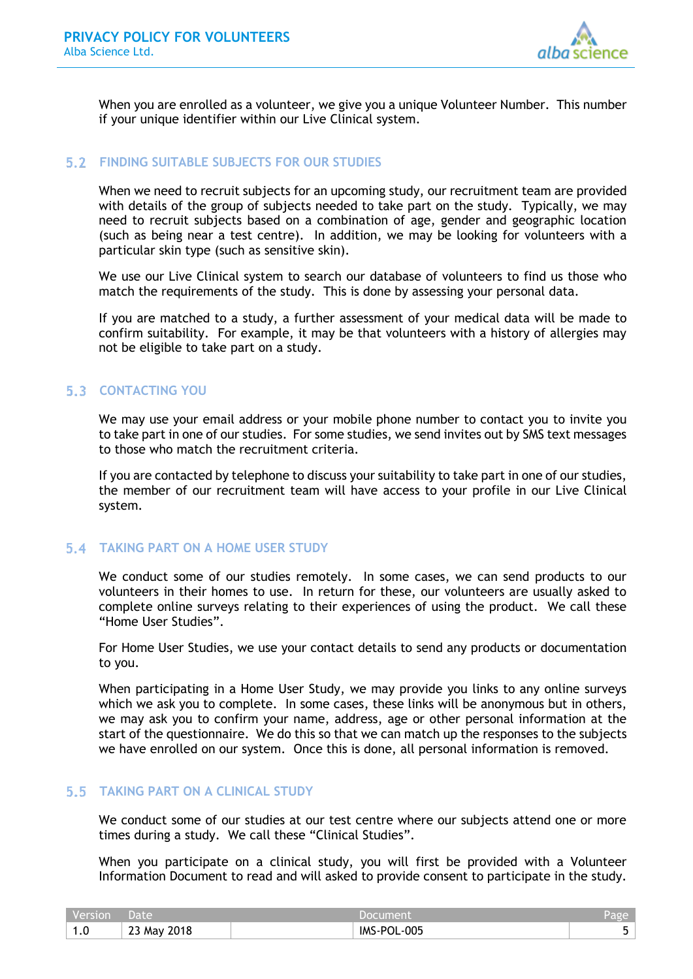

When you are enrolled as a volunteer, we give you a unique Volunteer Number. This number if your unique identifier within our Live Clinical system.

### **FINDING SUITABLE SUBJECTS FOR OUR STUDIES**

When we need to recruit subjects for an upcoming study, our recruitment team are provided with details of the group of subjects needed to take part on the study. Typically, we may need to recruit subjects based on a combination of age, gender and geographic location (such as being near a test centre). In addition, we may be looking for volunteers with a particular skin type (such as sensitive skin).

We use our Live Clinical system to search our database of volunteers to find us those who match the requirements of the study. This is done by assessing your personal data.

If you are matched to a study, a further assessment of your medical data will be made to confirm suitability. For example, it may be that volunteers with a history of allergies may not be eligible to take part on a study.

### **5.3 CONTACTING YOU**

We may use your email address or your mobile phone number to contact you to invite you to take part in one of our studies. For some studies, we send invites out by SMS text messages to those who match the recruitment criteria.

If you are contacted by telephone to discuss your suitability to take part in one of our studies, the member of our recruitment team will have access to your profile in our Live Clinical system.

### **TAKING PART ON A HOME USER STUDY**

We conduct some of our studies remotely. In some cases, we can send products to our volunteers in their homes to use. In return for these, our volunteers are usually asked to complete online surveys relating to their experiences of using the product. We call these "Home User Studies".

For Home User Studies, we use your contact details to send any products or documentation to you.

When participating in a Home User Study, we may provide you links to any online surveys which we ask you to complete. In some cases, these links will be anonymous but in others, we may ask you to confirm your name, address, age or other personal information at the start of the questionnaire. We do this so that we can match up the responses to the subjects we have enrolled on our system. Once this is done, all personal information is removed.

### **TAKING PART ON A CLINICAL STUDY**

We conduct some of our studies at our test centre where our subjects attend one or more times during a study. We call these "Clinical Studies".

When you participate on a clinical study, you will first be provided with a Volunteer Information Document to read and will asked to provide consent to participate in the study.

| Version               | Date'       | Document    | Page |
|-----------------------|-------------|-------------|------|
| $\overline{A}$<br>1.U | 23 May 2018 | IMS-POL-005 |      |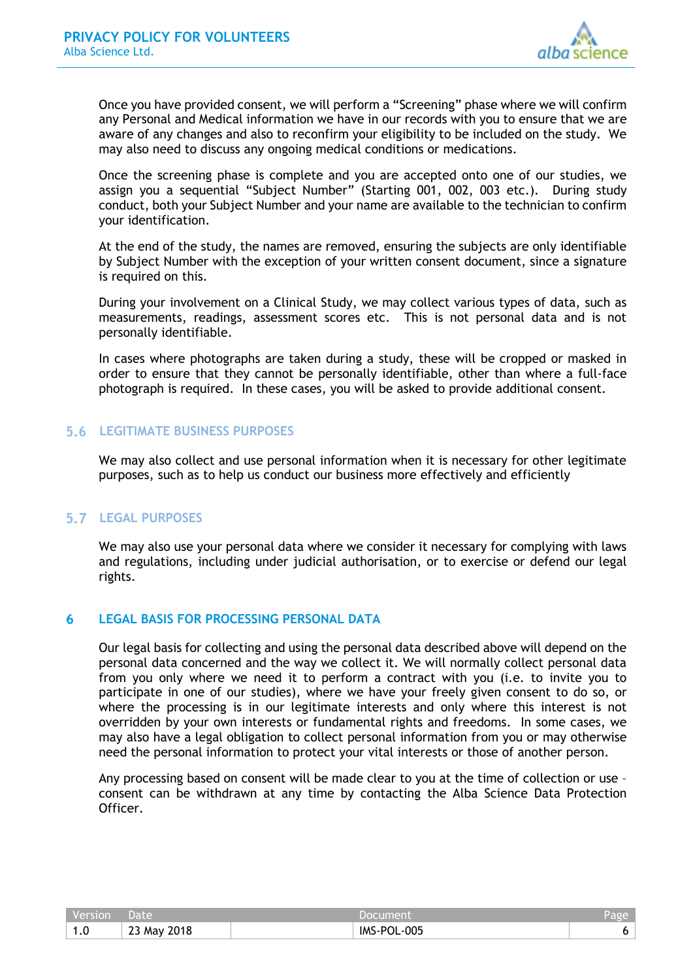

Once you have provided consent, we will perform a "Screening" phase where we will confirm any Personal and Medical information we have in our records with you to ensure that we are aware of any changes and also to reconfirm your eligibility to be included on the study. We may also need to discuss any ongoing medical conditions or medications.

Once the screening phase is complete and you are accepted onto one of our studies, we assign you a sequential "Subject Number" (Starting 001, 002, 003 etc.). During study conduct, both your Subject Number and your name are available to the technician to confirm your identification.

At the end of the study, the names are removed, ensuring the subjects are only identifiable by Subject Number with the exception of your written consent document, since a signature is required on this.

During your involvement on a Clinical Study, we may collect various types of data, such as measurements, readings, assessment scores etc. This is not personal data and is not personally identifiable.

In cases where photographs are taken during a study, these will be cropped or masked in order to ensure that they cannot be personally identifiable, other than where a full-face photograph is required. In these cases, you will be asked to provide additional consent.

### **LEGITIMATE BUSINESS PURPOSES**

We may also collect and use personal information when it is necessary for other legitimate purposes, such as to help us conduct our business more effectively and efficiently

### **LEGAL PURPOSES**

We may also use your personal data where we consider it necessary for complying with laws and regulations, including under judicial authorisation, or to exercise or defend our legal rights.

### <span id="page-5-0"></span>**LEGAL BASIS FOR PROCESSING PERSONAL DATA** 6

Our legal basis for collecting and using the personal data described above will depend on the personal data concerned and the way we collect it. We will normally collect personal data from you only where we need it to perform a contract with you (i.e. to invite you to participate in one of our studies), where we have your freely given consent to do so, or where the processing is in our legitimate interests and only where this interest is not overridden by your own interests or fundamental rights and freedoms. In some cases, we may also have a legal obligation to collect personal information from you or may otherwise need the personal information to protect your vital interests or those of another person.

Any processing based on consent will be made clear to you at the time of collection or use consent can be withdrawn at any time by contacting the Alba Science Data Protection Officer.

| Version | Date        | Document    | Page |
|---------|-------------|-------------|------|
| 1.0     | 23 May 2018 | IMS-POL-005 |      |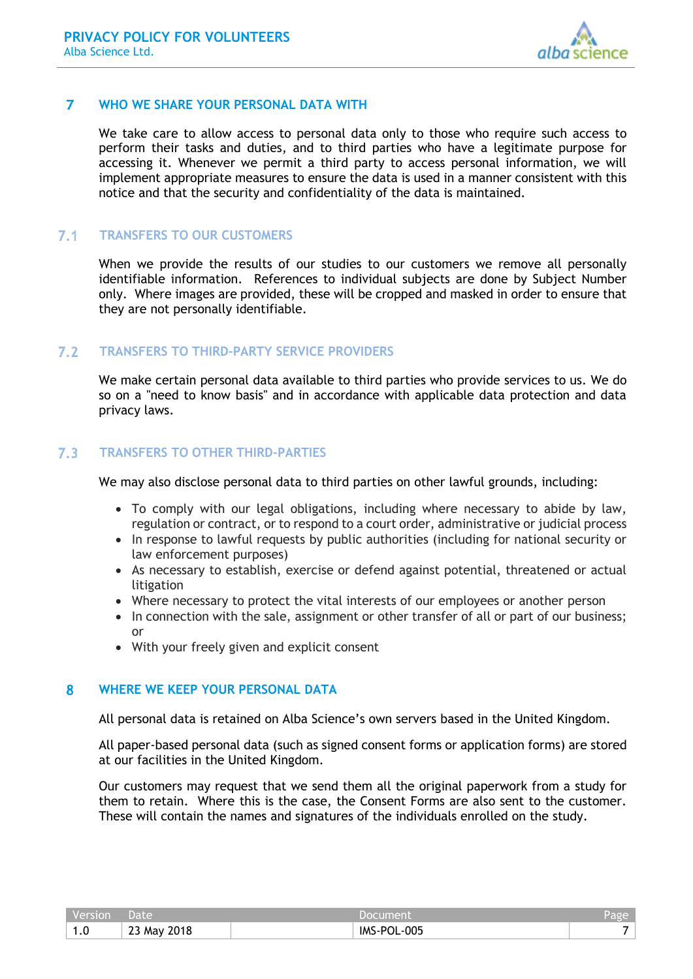

#### <span id="page-6-0"></span> $\overline{7}$ **WHO WE SHARE YOUR PERSONAL DATA WITH**

We take care to allow access to personal data only to those who require such access to perform their tasks and duties, and to third parties who have a legitimate purpose for accessing it. Whenever we permit a third party to access personal information, we will implement appropriate measures to ensure the data is used in a manner consistent with this notice and that the security and confidentiality of the data is maintained.

#### $7.1$ **TRANSFERS TO OUR CUSTOMERS**

When we provide the results of our studies to our customers we remove all personally identifiable information. References to individual subjects are done by Subject Number only. Where images are provided, these will be cropped and masked in order to ensure that they are not personally identifiable.

### $7.2$ **TRANSFERS TO THIRD-PARTY SERVICE PROVIDERS**

We make certain personal data available to third parties who provide services to us. We do so on a "need to know basis" and in accordance with applicable data protection and data privacy laws.

### $7.3$ **TRANSFERS TO OTHER THIRD-PARTIES**

We may also disclose personal data to third parties on other lawful grounds, including:

- To comply with our legal obligations, including where necessary to abide by law, regulation or contract, or to respond to a court order, administrative or judicial process
- In response to lawful requests by public authorities (including for national security or law enforcement purposes)
- As necessary to establish, exercise or defend against potential, threatened or actual litigation
- Where necessary to protect the vital interests of our employees or another person
- In connection with the sale, assignment or other transfer of all or part of our business; or
- With your freely given and explicit consent

#### <span id="page-6-1"></span>8 **WHERE WE KEEP YOUR PERSONAL DATA**

All personal data is retained on Alba Science's own servers based in the United Kingdom.

All paper-based personal data (such as signed consent forms or application forms) are stored at our facilities in the United Kingdom.

Our customers may request that we send them all the original paperwork from a study for them to retain. Where this is the case, the Consent Forms are also sent to the customer. These will contain the names and signatures of the individuals enrolled on the study.

| Version | Date        | Document    | Page |
|---------|-------------|-------------|------|
| 1.0     | 23 May 2018 | IMS-POL-005 |      |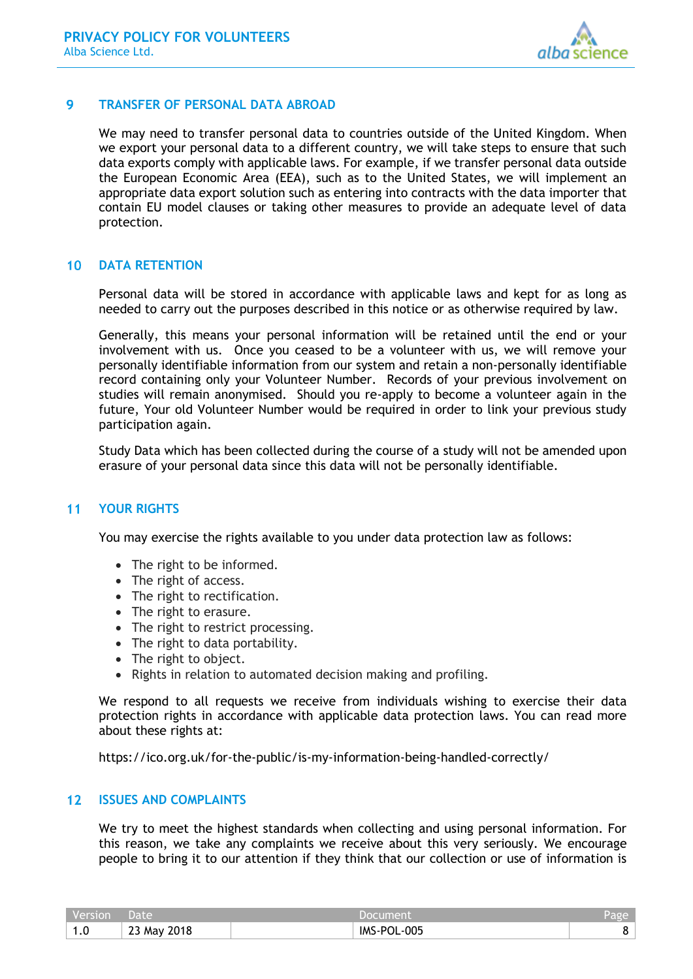

#### <span id="page-7-0"></span> $\mathbf{Q}$ **TRANSFER OF PERSONAL DATA ABROAD**

We may need to transfer personal data to countries outside of the United Kingdom. When we export your personal data to a different country, we will take steps to ensure that such data exports comply with applicable laws. For example, if we transfer personal data outside the European Economic Area (EEA), such as to the United States, we will implement an appropriate data export solution such as entering into contracts with the data importer that contain EU model clauses or taking other measures to provide an adequate level of data protection.

#### <span id="page-7-1"></span> $10<sup>1</sup>$ **DATA RETENTION**

Personal data will be stored in accordance with applicable laws and kept for as long as needed to carry out the purposes described in this notice or as otherwise required by law.

Generally, this means your personal information will be retained until the end or your involvement with us. Once you ceased to be a volunteer with us, we will remove your personally identifiable information from our system and retain a non-personally identifiable record containing only your Volunteer Number. Records of your previous involvement on studies will remain anonymised. Should you re-apply to become a volunteer again in the future, Your old Volunteer Number would be required in order to link your previous study participation again.

Study Data which has been collected during the course of a study will not be amended upon erasure of your personal data since this data will not be personally identifiable.

### <span id="page-7-2"></span>**YOUR RIGHTS**  $11$

You may exercise the rights available to you under data protection law as follows:

- The right to be informed.
- The right of access.
- The right to rectification.
- The right to erasure.
- The right to restrict processing.
- The right to data portability.
- The right to object.
- Rights in relation to automated decision making and profiling.

We respond to all requests we receive from individuals wishing to exercise their data protection rights in accordance with applicable data protection laws. You can read more about these rights at:

<https://ico.org.uk/for-the-public/is-my-information-being-handled-correctly/>

#### <span id="page-7-3"></span> $12<sub>2</sub>$ **ISSUES AND COMPLAINTS**

We try to meet the highest standards when collecting and using personal information. For this reason, we take any complaints we receive about this very seriously. We encourage people to bring it to our attention if they think that our collection or use of information is

| 'Version, | /Date       | Document    | Page |
|-----------|-------------|-------------|------|
| ٥         | 23 May 2018 | IMS-POL-005 |      |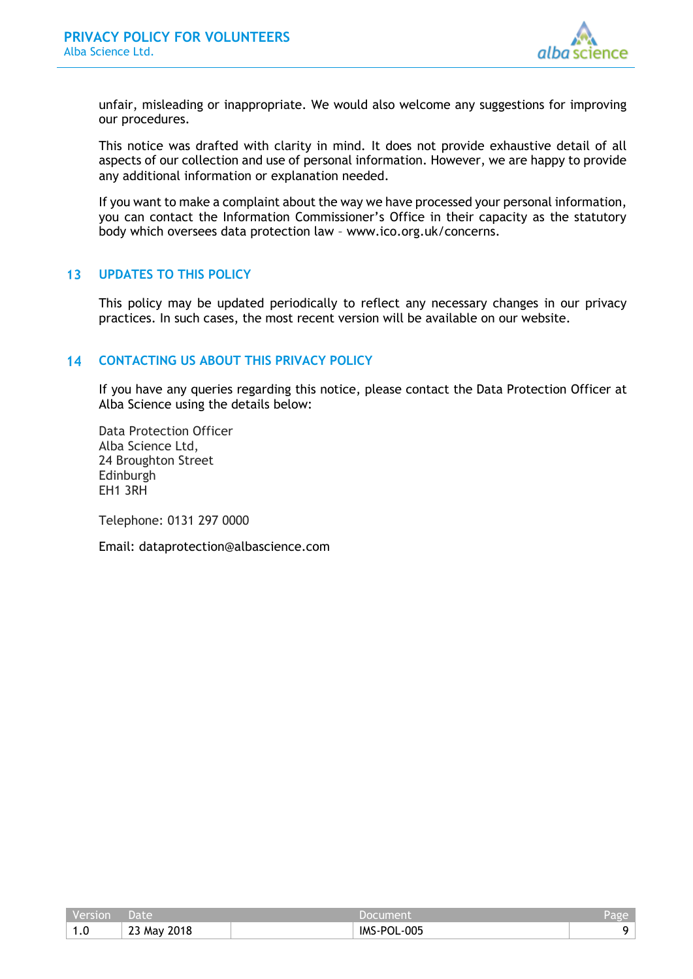

unfair, misleading or inappropriate. We would also welcome any suggestions for improving our procedures.

This notice was drafted with clarity in mind. It does not provide exhaustive detail of all aspects of our collection and use of personal information. However, we are happy to provide any additional information or explanation needed.

If you want to make a complaint about the way we have processed your personal information, you can contact the Information Commissioner's Office in their capacity as the statutory body which oversees data protection law – [www.ico.org.uk/concerns.](http://www.ico.org.uk/concerns)

### <span id="page-8-0"></span> $13<sup>°</sup>$ **UPDATES TO THIS POLICY**

This policy may be updated periodically to reflect any necessary changes in our privacy practices. In such cases, the most recent version will be available on our website.

### <span id="page-8-1"></span>**CONTACTING US ABOUT THIS PRIVACY POLICY**  $14<sup>7</sup>$

If you have any queries regarding this notice, please contact the Data Protection Officer at Alba Science using the details below:

Data Protection Officer Alba Science Ltd, 24 Broughton Street Edinburgh EH1 3RH

Telephone: 0131 297 0000

Email: dataprotection@albascience.com

| Version | <b>Date</b> | Document    | Pagel |
|---------|-------------|-------------|-------|
| v       | 23 May 2018 | IMS-POL-005 |       |